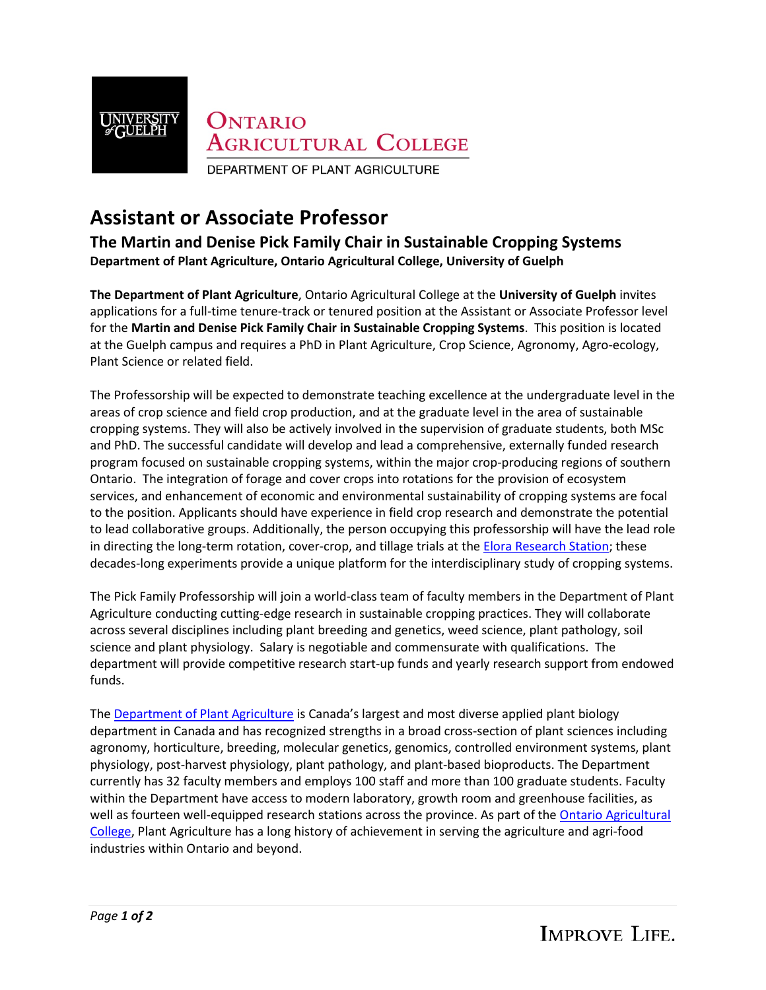

## **Assistant or Associate Professor**

**The Martin and Denise Pick Family Chair in Sustainable Cropping Systems Department of Plant Agriculture, Ontario Agricultural College, University of Guelph**

**The Department of Plant Agriculture**, Ontario Agricultural College at the **University of Guelph** invites applications for a full-time tenure-track or tenured position at the Assistant or Associate Professor level for the **Martin and Denise Pick Family Chair in Sustainable Cropping Systems**. This position is located at the Guelph campus and requires a PhD in Plant Agriculture, Crop Science, Agronomy, Agro-ecology, Plant Science or related field.

The Professorship will be expected to demonstrate teaching excellence at the undergraduate level in the areas of crop science and field crop production, and at the graduate level in the area of sustainable cropping systems. They will also be actively involved in the supervision of graduate students, both MSc and PhD. The successful candidate will develop and lead a comprehensive, externally funded research program focused on sustainable cropping systems, within the major crop-producing regions of southern Ontario. The integration of forage and cover crops into rotations for the provision of ecosystem services, and enhancement of economic and environmental sustainability of cropping systems are focal to the position. Applicants should have experience in field crop research and demonstrate the potential to lead collaborative groups. Additionally, the person occupying this professorship will have the lead role in directing the long-term rotation, cover-crop, and tillage trials at th[e Elora Research Station;](https://www.uoguelph.ca/alliance/research-facilities/research-centres/ontario-crops-research-centre-sites/ontario-crops-research-2) these decades-long experiments provide a unique platform for the interdisciplinary study of cropping systems.

The Pick Family Professorship will join a world-class team of faculty members in the Department of Plant Agriculture conducting cutting-edge research in sustainable cropping practices. They will collaborate across several disciplines including plant breeding and genetics, weed science, plant pathology, soil science and plant physiology. Salary is negotiable and commensurate with qualifications. The department will provide competitive research start-up funds and yearly research support from endowed funds.

The **Department of Plant Agriculture** is Canada's largest and most diverse applied plant biology department in Canada and has recognized strengths in a broad cross-section of plant sciences including agronomy, horticulture, breeding, molecular genetics, genomics, controlled environment systems, plant physiology, post-harvest physiology, plant pathology, and plant-based bioproducts. The Department currently has 32 faculty members and employs 100 staff and more than 100 graduate students. Faculty within the Department have access to modern laboratory, growth room and greenhouse facilities, as well as fourteen well-equipped research stations across the province. As part of the Ontario Agricultural [College,](https://www.uoguelph.ca/oac/) Plant Agriculture has a long history of achievement in serving the agriculture and agri-food industries within Ontario and beyond.